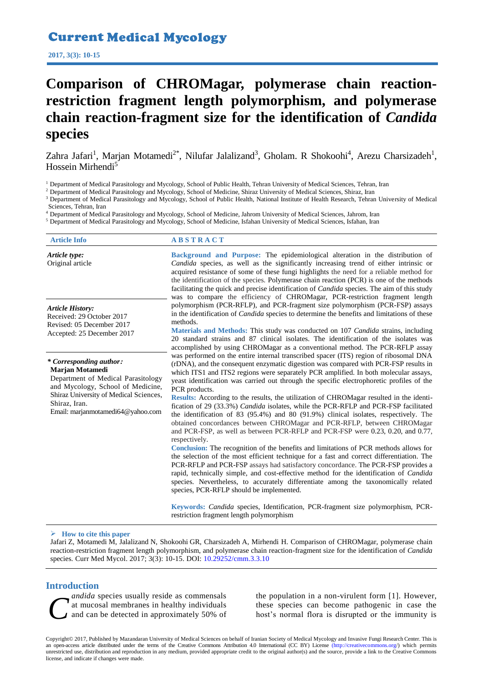# Current Medical Mycology

**2017, 3(3): 10-15**

# **Comparison of CHROMagar, polymerase chain reactionrestriction fragment length polymorphism, and polymerase chain reaction-fragment size for the identification of** *Candida* **species**

Zahra Jafari<sup>1</sup>, Marjan Motamedi<sup>2\*</sup>, Nilufar Jalalizand<sup>3</sup>, Gholam. R Shokoohi<sup>4</sup>, Arezu Charsizadeh<sup>1</sup>, Hossein Mirhendi<sup>5</sup>

<sup>1</sup> Department of Medical Parasitology and Mycology, School of Public Health, Tehran University of Medical Sciences, Tehran, Iran

<sup>2</sup> Department of Medical Parasitology and Mycology, School of Medicine, Shiraz University of Medical Sciences, Shiraz, Iran

<sup>3</sup> Department of Medical Parasitology and Mycology, School of Public Health, National Institute of Health Research, Tehran University of Medical Sciences, Tehran, Iran

<sup>4</sup> Department of Medical Parasitology and Mycology, School of Medicine, Jahrom University of Medical Sciences, Jahrom, Iran

<sup>5</sup> Department of Medical Parasitology and Mycology, School of Medicine, Isfahan University of Medical Sciences, Isfahan, Iran

| <b>Article Info</b>                                                                                                                                                                                                   | <b>ABSTRACT</b>                                                                                                                                                                                                                                                                                                                                                                                                                                                                                                                                                                                                                                                                                                                                                                                                                                                                                                                                                                                                                                                                                                                                                                                                                                                                                                                                         |
|-----------------------------------------------------------------------------------------------------------------------------------------------------------------------------------------------------------------------|---------------------------------------------------------------------------------------------------------------------------------------------------------------------------------------------------------------------------------------------------------------------------------------------------------------------------------------------------------------------------------------------------------------------------------------------------------------------------------------------------------------------------------------------------------------------------------------------------------------------------------------------------------------------------------------------------------------------------------------------------------------------------------------------------------------------------------------------------------------------------------------------------------------------------------------------------------------------------------------------------------------------------------------------------------------------------------------------------------------------------------------------------------------------------------------------------------------------------------------------------------------------------------------------------------------------------------------------------------|
| Article type:<br>Original article                                                                                                                                                                                     | Background and Purpose: The epidemiological alteration in the distribution of<br><i>Candida</i> species, as well as the significantly increasing trend of either intrinsic or<br>acquired resistance of some of these fungi highlights the need for a reliable method for<br>the identification of the species. Polymerase chain reaction (PCR) is one of the methods<br>facilitating the quick and precise identification of <i>Candida</i> species. The aim of this study<br>was to compare the efficiency of CHROMagar, PCR-restriction fragment length                                                                                                                                                                                                                                                                                                                                                                                                                                                                                                                                                                                                                                                                                                                                                                                              |
| <b>Article History:</b><br>Received: 29 October 2017<br>Revised: 05 December 2017<br>Accepted: 25 December 2017                                                                                                       | polymorphism (PCR-RFLP), and PCR-fragment size polymorphism (PCR-FSP) assays<br>in the identification of <i>Candida</i> species to determine the benefits and limitations of these<br>methods.<br>Materials and Methods: This study was conducted on 107 Candida strains, including<br>20 standard strains and 87 clinical isolates. The identification of the isolates was<br>accomplished by using CHROMagar as a conventional method. The PCR-RFLP assay                                                                                                                                                                                                                                                                                                                                                                                                                                                                                                                                                                                                                                                                                                                                                                                                                                                                                             |
| * Corresponding author:<br>Marjan Motamedi<br>Department of Medical Parasitology<br>and Mycology, School of Medicine,<br>Shiraz University of Medical Sciences,<br>Shiraz, Iran.<br>Email: marjanmotamedi64@yahoo.com | was performed on the entire internal transcribed spacer (ITS) region of ribosomal DNA<br>(rDNA), and the consequent enzymatic digestion was compared with PCR-FSP results in<br>which ITS1 and ITS2 regions were separately PCR amplified. In both molecular assays,<br>yeast identification was carried out through the specific electrophoretic profiles of the<br>PCR products.<br>Results: According to the results, the utilization of CHROMagar resulted in the identi-<br>fication of 29 (33.3%) Candida isolates, while the PCR-RFLP and PCR-FSP facilitated<br>the identification of 83 $(95.4\%)$ and 80 $(91.9\%)$ clinical isolates, respectively. The<br>obtained concordances between CHROMagar and PCR-RFLP, between CHROMagar<br>and PCR-FSP, as well as between PCR-RFLP and PCR-FSP were 0.23, 0.20, and 0.77,<br>respectively.<br>Conclusion: The recognition of the benefits and limitations of PCR methods allows for<br>the selection of the most efficient technique for a fast and correct differentiation. The<br>PCR-RFLP and PCR-FSP assays had satisfactory concordance. The PCR-FSP provides a<br>rapid, technically simple, and cost-effective method for the identification of Candida<br>species. Nevertheless, to accurately differentiate among the taxonomically related<br>species, PCR-RFLP should be implemented. |
|                                                                                                                                                                                                                       | Keywords: <i>Candida</i> species, Identification, PCR-fragment size polymorphism, PCR-<br>restriction fragment length polymorphism                                                                                                                                                                                                                                                                                                                                                                                                                                                                                                                                                                                                                                                                                                                                                                                                                                                                                                                                                                                                                                                                                                                                                                                                                      |

#### **How to cite this paper**

Jafari Z, Motamedi M, Jalalizand N, Shokoohi GR, Charsizadeh A, Mirhendi H. Comparison of CHROMagar, polymerase chain reaction-restriction fragment length polymorphism, and polymerase chain reaction-fragment size for the identification of *Candida* species. Curr Med Mycol. 2017; 3(3): 10-15. DOI: [10.29252/cmm.3.3.10](http://cmm.mazums.ac.ir/browse.php?mag_id=15&slc_lang=en&sid=1)

# **Introduction**

*andida* species usually reside as commensals at mucosal membranes in healthy individuals and can be detected in approximately 50% of andida species usually reside as commensals<br>at mucosal membranes in healthy individuals<br>and can be detected in approximately 50% of host's normal flora is disrupted or the immunity is

the population in a non-virulent form [1]. However,

Copyright© 2017, Published by Mazandaran University of Medical Sciences on behalf of Iranian Society of Medical Mycology and Invasive Fungi Research Center. This is an open-access article distributed under the terms of the Creative Commons Attribution 4.0 International (CC BY) License [\(http://creativecommons.org/\)](https://creativecommons.org/licenses/by/4.0/) which permits unrestricted use, distribution and reproduction in any medium, provided appropriate credit to the original author(s) and the source, provide a link to the Creative Commons license, and indicate if changes were made.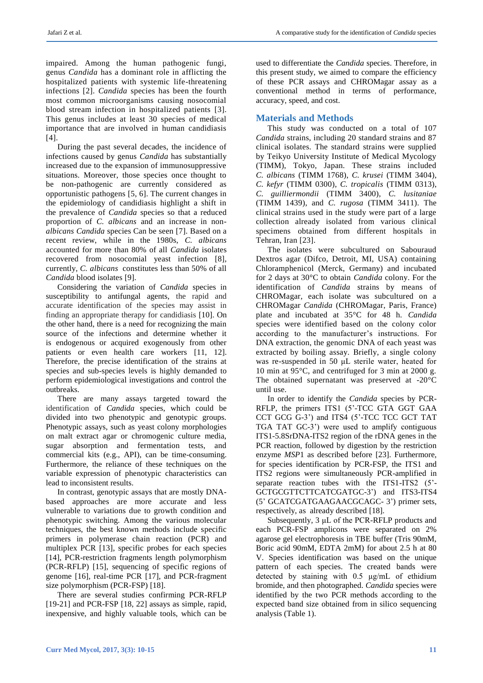impaired. Among the human pathogenic fungi, genus *Candida* has a dominant role in afflicting the hospitalized patients with systemic life-threatening infections [2]. *Candida* species has been the fourth most common microorganisms causing nosocomial blood stream infection in hospitalized patients [3]. This genus includes at least 30 species of medical importance that are involved in human candidiasis [4].

During the past several decades, the incidence of infections caused by genus *Candida* has substantially increased due to the expansion of immunosuppressive situations. Moreover, those species once thought to be non-pathogenic are currently considered as opportunistic pathogens [5, 6]. The current changes in the epidemiology of candidiasis highlight a shift in the prevalence of *Candida* species so that a reduced proportion of *C. albicans* and an increase in non*albicans Candida* species Can be seen [7]. Based on a recent review, while in the 1980s, *C. albicans* accounted for more than 80% of all *Candida* isolates recovered from nosocomial yeast infection [8], currently, *C. albicans* constitutes less than 50% of all *Candida* blood isolates [9].

Considering the variation of *Candida* species in susceptibility to antifungal agents, the rapid and accurate identification of the species may assist in finding an appropriate therapy for candidiasis [10]. On the other hand, there is a need for recognizing the main source of the infections and determine whether it is endogenous or acquired exogenously from other patients or even health care workers [11, 12]. Therefore, the precise identification of the strains at species and sub-species levels is highly demanded to perform epidemiological investigations and control the outbreaks.

There are many assays targeted toward the identification of *Candida* species, which could be divided into two phenotypic and genotypic groups. Phenotypic assays, such as yeast colony morphologies on malt extract agar or chromogenic culture media, sugar absorption and fermentation tests, and commercial kits (e.g., API), can be time-consuming. Furthermore, the reliance of these techniques on the variable expression of phenotypic characteristics can lead to inconsistent results.

In contrast, genotypic assays that are mostly DNAbased approaches are more accurate and less vulnerable to variations due to growth condition and phenotypic switching. Among the various molecular techniques, the best known methods include specific primers in polymerase chain reaction (PCR) and multiplex PCR [13], specific probes for each species [14], PCR-restriction fragments length polymorphism (PCR-RFLP) [15], sequencing of specific regions of genome [16], real-time PCR [17], and PCR-fragment size polymorphism (PCR-FSP) [18].

There are several studies confirming PCR-RFLP [19-21] and PCR-FSP [18, 22] assays as simple, rapid, inexpensive, and highly valuable tools, which can be

used to differentiate the *Candida* species. Therefore, in this present study, we aimed to compare the efficiency of these PCR assays and CHROMagar assay as a conventional method in terms of performance, accuracy, speed, and cost.

# **Materials and Methods**

This study was conducted on a total of 107 *Candida* strains, including 20 standard strains and 87 clinical isolates. The standard strains were supplied by Teikyo University Institute of Medical Mycology (TIMM), Tokyo, Japan. These strains included *C. albicans* (TIMM 1768), *C. krusei* (TIMM 3404), *C. kefyr* (TIMM 0300), *C. tropicalis* (TIMM 0313), *C. guilliermondii* (TIMM 3400), *C. lusitaniae* (TIMM 1439), and *C. rugosa* (TIMM 3411). The clinical strains used in the study were part of a large collection already isolated from various clinical specimens obtained from different hospitals in Tehran, Iran [23].

The isolates were subcultured on Sabouraud Dextros agar (Difco, Detroit, MI, USA) containing Chloramphenicol (Merck, Germany) and incubated for 2 days at 30°C to obtain *Candida* colony. For the identification of *Candida* strains by means of CHROMagar, each isolate was subcultured on a CHROMagar *Candida* (CHROMagar, Paris, France) plate and incubated at 35°C for 48 h. *Candida* species were identified based on the colony color according to the manufacturer's instructions. For DNA extraction, the genomic DNA of each yeast was extracted by boiling assay. Briefly, a single colony was re-suspended in 50 μL sterile water, heated for 10 min at 95°C, and centrifuged for 3 min at 2000 g. The obtained supernatant was preserved at -20°C until use.

In order to identify the *Candida* species by PCR-RFLP, the primers ITS1 (5'-TCC GTA GGT GAA CCT GCG G-3') and ITS4 (5'-TCC TCC GCT TAT TGA TAT GC-3') were used to amplify contiguous ITS1-5.8SrDNA-ITS2 region of the rDNA genes in the PCR reaction, followed by digestion by the restriction enzyme *MSP*1 as described before [23]. Furthermore, for species identification by PCR-FSP, the ITS1 and ITS2 regions were simultaneously PCR-amplified in separate reaction tubes with the ITS1-ITS2 (5'- GCTGCGTTCTTCATCGATGC-3') and ITS3-ITS4 (5' GCATCGATGAAGAACGCAGC- 3') primer sets, respectively, as already described [18].

Subsequently, 3 μL of the PCR-RFLP products and each PCR-FSP amplicons were separated on 2% agarose gel electrophoresis in TBE buffer (Tris 90mM, Boric acid 90mM, EDTA 2mM) for about 2.5 h at 80 V. Species identification was based on the unique pattern of each species. The created bands were detected by staining with 0.5 μg/mL of ethidium bromide, and then photographed. *Candida* species were identified by the two PCR methods according to the expected band size obtained from in silico sequencing analysis (Table 1).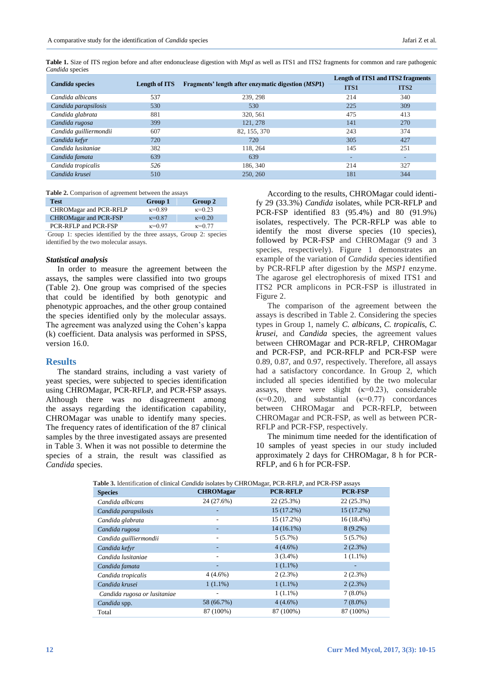**Table 1.** Size of ITS region before and after endonuclease digestion with *MspI* as well as ITS1 and ITS2 fragments for common and rare pathogenic *Candida* species

|                        |                      |                                                             | <b>Length of ITS1 and ITS2 fragments</b> |                  |
|------------------------|----------------------|-------------------------------------------------------------|------------------------------------------|------------------|
| <b>Candida species</b> | <b>Length of ITS</b> | Fragments' length after enzymatic digestion ( <i>MSP</i> 1) | <b>ITS1</b>                              | ITS <sub>2</sub> |
| Candida albicans       | 537                  | 239, 298                                                    | 214                                      | 340              |
| Candida parapsilosis   | 530                  | 530                                                         | 225                                      | 309              |
| Candida glabrata       | 881                  | 320, 561                                                    | 475                                      | 413              |
| Candida rugosa         | 399                  | 121, 278                                                    | 141                                      | 270              |
| Candida guilliermondii | 607                  | 82, 155, 370                                                | 243                                      | 374              |
| Candida kefyr          | 720                  | 720                                                         | 305                                      | 427              |
| Candida lusitaniae     | 382                  | 118, 264                                                    | 145                                      | 251              |
| Candida famata         | 639                  | 639                                                         | $\overline{\phantom{a}}$                 | -                |
| Candida tropicalis     | 526                  | 186, 340                                                    | 214                                      | 327              |
| Candida krusei         | 510                  | 250, 260                                                    | 181                                      | 344              |

**Table 2.** Comparison of agreement between the assays

| Test                         | Group 1         | Group 2         |
|------------------------------|-----------------|-----------------|
| CHROMagar and PCR-RFLP       | $k = 0.89$      | $\kappa = 0.23$ |
| <b>CHROMagar and PCR-FSP</b> | $\kappa = 0.87$ | $\kappa = 0.20$ |
| PCR-RFLP and PCR-FSP         | $k = 0.97$      | $\kappa = 0.77$ |

Group 1: species identified by the three assays, Group 2: species identified by the two molecular assays.

#### *Statistical analysis*

In order to measure the agreement between the assays, the samples were classified into two groups (Table 2). One group was comprised of the species that could be identified by both genotypic and phenotypic approaches, and the other group contained the species identified only by the molecular assays. The agreement was analyzed using the Cohen's kappa (k) coefficient. Data analysis was performed in SPSS, version 16.0.

#### **Results**

The standard strains, including a vast variety of yeast species, were subjected to species identification using CHROMagar, PCR-RFLP, and PCR-FSP assays. Although there was no disagreement among the assays regarding the identification capability, CHROMagar was unable to identify many species. The frequency rates of identification of the 87 clinical samples by the three investigated assays are presented in Table 3. When it was not possible to determine the species of a strain, the result was classified as *Candida* species.

According to the results, CHROMagar could identify 29 (33.3%) *Candida* isolates, while PCR-RFLP and PCR-FSP identified 83 (95.4%) and 80 (91.9%) isolates, respectively. The PCR-RFLP was able to identify the most diverse species (10 species), followed by PCR-FSP and CHROMagar (9 and 3 species, respectively). Figure 1 demonstrates an example of the variation of *Candida* species identified by PCR-RFLP after digestion by the *MSP1* enzyme. The agarose gel electrophoresis of mixed ITS1 and ITS2 PCR amplicons in PCR-FSP is illustrated in Figure 2.

The comparison of the agreement between the assays is described in Table 2. Considering the species types in Group 1, namely *C. albicans*, *C. tropicali*s, *C. krusei,* and *Candida* species, the agreement values between CHROMagar and PCR-RFLP, CHROMagar and PCR-FSP, and PCR-RFLP and PCR-FSP were 0.89, 0.87, and 0.97, respectively. Therefore, all assays had a satisfactory concordance. In Group 2, which included all species identified by the two molecular assays, there were slight  $(\kappa=0.23)$ , considerable  $(\kappa=0.20)$ , and substantial  $(\kappa=0.77)$  concordances between CHROMagar and PCR-RFLP, between CHROMagar and PCR-FSP, as well as between PCR-RFLP and PCR-FSP, respectively.

The minimum time needed for the identification of 10 samples of yeast species in our study included approximately 2 days for CHROMagar, 8 h for PCR-RFLP, and 6 h for PCR-FSP.

| <b>Table 3.</b> Identification of clinical <i>Candida</i> isolates by CHROMagar, PCR-RFLP, and PCR-FSP assays |                  |                 |                |  |
|---------------------------------------------------------------------------------------------------------------|------------------|-----------------|----------------|--|
| <b>Species</b>                                                                                                | <b>CHROMagar</b> | <b>PCR-RFLP</b> | <b>PCR-FSP</b> |  |
| Candida albicans                                                                                              | 24 (27.6%)       | 22(25.3%)       | 22(25.3%)      |  |
| Candida parapsilosis                                                                                          | ۰                | $15(17.2\%)$    | $15(17.2\%)$   |  |
| Candida glabrata                                                                                              |                  | 15 (17.2%)      | $16(18.4\%)$   |  |
| Candida rugosa                                                                                                |                  | $14(16.1\%)$    | $8(9.2\%)$     |  |
| Candida guilliermondii                                                                                        | ۰                | 5(5.7%)         | 5(5.7%)        |  |
| Candida kefyr                                                                                                 | ۰                | $4(4.6\%)$      | $2(2.3\%)$     |  |
| Candida lusitaniae                                                                                            |                  | $3(3.4\%)$      | $1(1.1\%)$     |  |
| Candida famata                                                                                                |                  | $1(1.1\%)$      |                |  |
| Candida tropicalis                                                                                            | $4(4.6\%)$       | $2(2.3\%)$      | $2(2.3\%)$     |  |
| Candida krusei                                                                                                | $1(1.1\%)$       | $1(1.1\%)$      | $2(2.3\%)$     |  |
| Candida rugosa or lusitaniae                                                                                  |                  | $1(1.1\%)$      | $7(8.0\%)$     |  |
| Candida spp.                                                                                                  | 58 (66.7%)       | $4(4.6\%)$      | $7(8.0\%)$     |  |
| Total                                                                                                         | 87 (100%)        | 87 (100%)       | 87 (100%)      |  |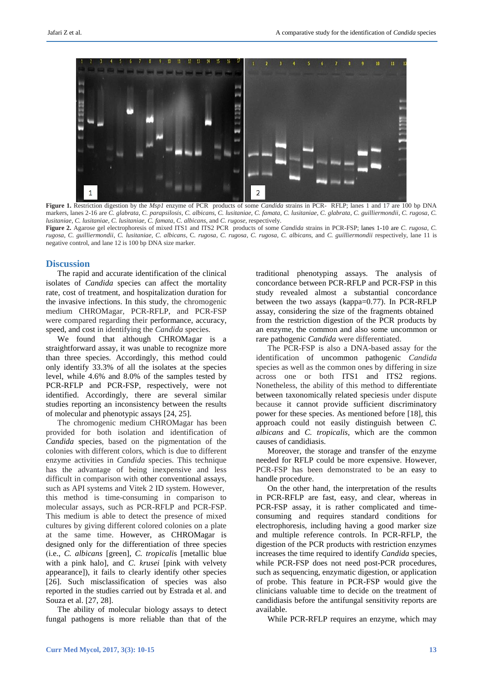

**Figure 1.** Restriction digestion by the *Msp1* enzyme of PCR products of some *Candida* strains in PCR- RFLP; lanes 1 and 17 are 100 bp DNA markers, lanes 2-16 are *C. glabrata*, *C. parapsilosis*, *C. albicans*, *C. lusitaniae*, *C. famata*, *C. lusitaniae*, *C. glabrata*, *C. guilliermondii*, *C. rugosa*, *C. lusitaniae*, *C. lusitaniae*, *C. lusitaniae*, *C. famata*, *C. albicans*, and *C. rugose*, respectively.

**Figure 2.** Agarose gel electrophoresis of mixed ITS1 and ITS2 PCR products of some *Candida* strains in PCR-FSP; lanes 1-10 are *C. rugosa*, *C. rugosa*, *C. guilliermondii*, *C. lusitaniae*, *C. albicans*, C*. rugosa*, *C. rugosa*, *C. rugosa*, *C. albicans*, and *C. guilliermondii* respectively, lane 11 is negative control, and lane 12 is 100 bp DNA size marker.

# **Discussion**

The rapid and accurate identification of the clinical isolates of *Candida* species can affect the mortality rate, cost of treatment, and hospitalization duration for the invasive infections. In this study, the chromogenic medium CHROMagar*,* PCR-RFLP, and PCR-FSP were compared regarding their performance, accuracy, speed, and cost in identifying the *Candida* species.

We found that although CHROMagar is a straightforward assay, it was unable to recognize more than three species. Accordingly, this method could only identify 33.3% of all the isolates at the species level, while 4.6% and 8.0% of the samples tested by PCR-RFLP and PCR-FSP, respectively, were not identified. Accordingly, there are several similar studies reporting an inconsistency between the results of molecular and phenotypic assays [24, 25].

The chromogenic medium CHROMagar has been provided for both isolation and identification of *Candida* species*,* based on the pigmentation of the colonies with different colors, which is due to different enzyme activities in *Candida* species. This technique has the advantage of being inexpensive and less difficult in comparison with other conventional assays, such as API systems and Vitek 2 ID system. However, this method is time-consuming in comparison to molecular assays, such as PCR-RFLP and PCR-FSP. This medium is able to detect the presence of mixed cultures by giving different colored colonies on a plate at the same time. However, as CHROMagar is designed only for the differentiation of three species (i.e., *C. albicans* [green], *C. tropicalis* [metallic blue with a pink halo], and *C. krusei* [pink with velvety appearance]), it fails to clearly identify other species [26]. Such misclassification of species was also reported in the studies carried out by Estrada et al. and Souza et al. [27, 28].

The ability of molecular biology assays to detect fungal pathogens is more reliable than that of the traditional phenotyping assays. The analysis of concordance between PCR-RFLP and PCR-FSP in this study revealed almost a substantial concordance between the two assays (kappa=0.77). In PCR-RFLP assay, considering the size of the fragments obtained from the restriction digestion of the PCR products by an enzyme, the common and also some uncommon or rare pathogenic *Candida* were differentiated.

The PCR-FSP is also a DNA-based assay for the identification of uncommon pathogenic *Candida* species as well as the common ones by differing in size across one or both ITS1 and ITS2 regions. Nonetheless, the ability of this method to differentiate between taxonomically related speciesis under dispute because it cannot provide sufficient discriminatory power for these species. As mentioned before [18], this approach could not easily distinguish between *C. albicans* and *C. tropicalis*, which are the common causes of candidiasis.

Moreover, the storage and transfer of the enzyme needed for RFLP could be more expensive. However, PCR-FSP has been demonstrated to be an easy to handle procedure.

On the other hand, the interpretation of the results in PCR-RFLP are fast, easy, and clear, whereas in PCR-FSP assay, it is rather complicated and timeconsuming and requires standard conditions for electrophoresis, including having a good marker size and multiple reference controls. In PCR-RFLP, the digestion of the PCR products with restriction enzymes increases the time required to identify *Candida* species, while PCR-FSP does not need post-PCR procedures, such as sequencing, enzymatic digestion, or application of probe. This feature in PCR-FSP would give the clinicians valuable time to decide on the treatment of candidiasis before the antifungal sensitivity reports are available.

While PCR-RFLP requires an enzyme, which may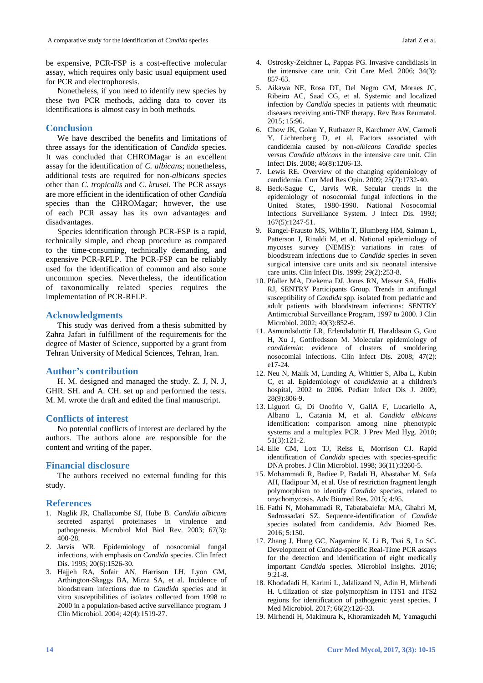be expensive, PCR-FSP is a cost-effective molecular assay, which requires only basic usual equipment used for PCR and electrophoresis.

Nonetheless, if you need to identify new species by these two PCR methods, adding data to cover its identifications is almost easy in both methods.

# **Conclusion**

We have described the benefits and limitations of three assays for the identification of *Candida* species. It was concluded that CHROMagar is an excellent assay for the identification of *C. albicans*; nonetheless, additional tests are required for non-*albicans* species other than *C. tropicalis* and *C. krusei*. The PCR assays are more efficient in the identification of other *Candida* species than the CHROMagar; however, the use of each PCR assay has its own advantages and disadvantages.

Species identification through PCR-FSP is a rapid, technically simple, and cheap procedure as compared to the time-consuming, technically demanding, and expensive PCR-RFLP. The PCR-FSP can be reliably used for the identification of common and also some uncommon species. Nevertheless, the identification of taxonomically related species requires the implementation of PCR-RFLP.

## **Acknowledgments**

This study was derived from a thesis submitted by Zahra Jafari in fulfillment of the requirements for the degree of Master of Science, supported by a grant from Tehran University of Medical Sciences, Tehran, Iran.

# **Author's contribution**

H. M. designed and managed the study. Z. J, N. J, GHR. SH. and A. CH. set up and performed the tests. M. M. wrote the draft and edited the final manuscript.

## **Conflicts of interest**

No potential conflicts of interest are declared by the authors. The authors alone are responsible for the content and writing of the paper.

## **Financial disclosure**

The authors received no external funding for this study.

#### **References**

- 1. Naglik JR, Challacombe SJ, Hube B. *Candida albicans* secreted aspartyl proteinases in virulence and pathogenesis. Microbiol Mol Biol Rev. 2003; 67(3): 400-28.
- 2. Jarvis WR. Epidemiology of nosocomial fungal infections, with emphasis on *Candida* species. Clin Infect Dis. 1995; 20(6):1526-30.
- 3. Hajjeh RA, Sofair AN, Harrison LH, Lyon GM, Arthington-Skaggs BA, Mirza SA, et al. Incidence of bloodstream infections due to *Candida* species and in vitro susceptibilities of isolates collected from 1998 to 2000 in a population-based active surveillance program. J Clin Microbiol. 2004; 42(4):1519-27.
- 4. Ostrosky-Zeichner L, Pappas PG. Invasive candidiasis in the intensive care unit. Crit Care Med. 2006; 34(3): 857-63.
- 5. Aikawa NE, Rosa DT, Del Negro GM, Moraes JC, Ribeiro AC, Saad CG, et al. Systemic and localized infection by *Candida* species in patients with rheumatic diseases receiving anti-TNF therapy. Rev Bras Reumatol. 2015; 15:96.
- 6. Chow JK, Golan Y, Ruthazer R, Karchmer AW, Carmeli Y, Lichtenberg D, et al. Factors associated with candidemia caused by non-*albicans Candida* species versus *Candida albicans* in the intensive care unit. Clin Infect Dis. 2008; 46(8):1206-13.
- 7. Lewis RE. Overview of the changing epidemiology of candidemia. Curr Med Res Opin. 2009; 25(7):1732-40.
- 8. Beck-Sague C, Jarvis WR. Secular trends in the epidemiology of nosocomial fungal infections in the United States, 1980-1990. National Nosocomial Infections Surveillance System. J Infect Dis. 1993; 167(5):1247-51.
- 9. Rangel-Frausto MS, Wiblin T, Blumberg HM, Saiman L, Patterson J, Rinaldi M, et al. National epidemiology of mycoses survey (NEMIS): variations in rates of bloodstream infections due to *Candida* species in seven surgical intensive care units and six neonatal intensive care units. Clin Infect Dis. 1999; 29(2):253-8.
- 10. Pfaller MA, Diekema DJ, Jones RN, Messer SA, Hollis RJ, SENTRY Participants Group. Trends in antifungal susceptibility of *Candida* spp. isolated from pediatric and adult patients with bloodstream infections: SENTRY Antimicrobial Surveillance Program, 1997 to 2000. J Clin Microbiol. 2002; 40(3):852-6.
- 11. Asmundsdottir LR, Erlendsdottir H, Haraldsson G, Guo H, Xu J, Gottfredsson M. Molecular epidemiology of *candidemia*: evidence of clusters of smoldering nosocomial infections. Clin Infect Dis. 2008; 47(2): e17-24.
- 12. Neu N, Malik M, Lunding A, Whittier S, Alba L, Kubin C, et al. Epidemiology of *candidemia* at a children's hospital, 2002 to 2006. Pediatr Infect Dis J. 2009; 28(9):806-9.
- 13. Liguori G, Di Onofrio V, GallA F, Lucariello A, Albano L, Catania M, et al. *Candida albicans* identification: comparison among nine phenotypic systems and a multiplex PCR. J Prev Med Hyg. 2010; 51(3):121-2.
- 14. Elie CM, Lott TJ, Reiss E, Morrison CJ. Rapid identification of *Candida* species with species-specific DNA probes. J Clin Microbiol. 1998; 36(11):3260-5.
- 15. Mohammadi R, Badiee P, Badali H, Abastabar M, Safa AH, Hadipour M, et al. Use of restriction fragment length polymorphism to identify *Candida* species, related to onychomycosis. Adv Biomed Res. 2015; 4:95.
- 16. Fathi N, Mohammadi R, Tabatabaiefar MA, Ghahri M, Sadrossadati SZ. Sequence-identification of *Candida* species isolated from candidemia. Adv Biomed Res. 2016; 5:150.
- 17. Zhang J, Hung GC, Nagamine K, Li B, Tsai S, Lo SC. Development of *Candida*-specific Real-Time PCR assays for the detection and identification of eight medically important *Candida* species. Microbiol Insights. 2016; 9:21-8.
- 18. Khodadadi H, Karimi L, Jalalizand N, Adin H, Mirhendi H. Utilization of size polymorphism in ITS1 and ITS2 regions for identification of pathogenic yeast species. J Med Microbiol. 2017; 66(2):126-33.
- 19. Mirhendi H, Makimura K, Khoramizadeh M, Yamaguchi